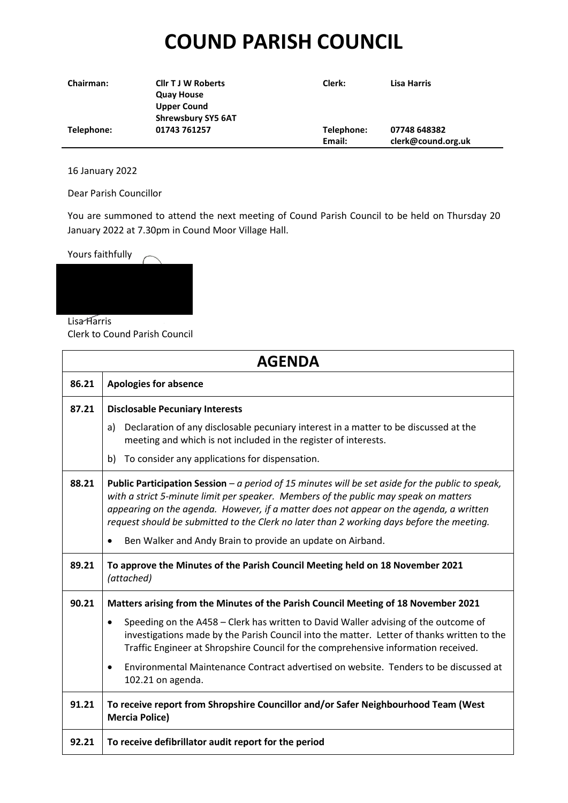## **COUND PARISH COUNCIL**

| <b>Chairman:</b> | <b>Cllr T J W Roberts</b> | Clerk:     | Lisa Harris        |
|------------------|---------------------------|------------|--------------------|
|                  | <b>Quay House</b>         |            |                    |
|                  | <b>Upper Cound</b>        |            |                    |
|                  | <b>Shrewsbury SY5 6AT</b> |            |                    |
| Telephone:       | 01743 761257              | Telephone: | 07748 648382       |
|                  |                           | Email:     | clerk@cound.org.uk |

16 January 2022

Dear Parish Councillor

You are summoned to attend the next meeting of Cound Parish Council to be held on Thursday 20 January 2022 at 7.30pm in Cound Moor Village Hall.



Lisa Harris

Clerk to Cound Parish Council

|       | <b>AGENDA</b>                                                                                                                                                                                                                                                                                                                                                                   |
|-------|---------------------------------------------------------------------------------------------------------------------------------------------------------------------------------------------------------------------------------------------------------------------------------------------------------------------------------------------------------------------------------|
| 86.21 | <b>Apologies for absence</b>                                                                                                                                                                                                                                                                                                                                                    |
| 87.21 | <b>Disclosable Pecuniary Interests</b>                                                                                                                                                                                                                                                                                                                                          |
|       | Declaration of any disclosable pecuniary interest in a matter to be discussed at the<br>a)<br>meeting and which is not included in the register of interests.                                                                                                                                                                                                                   |
|       | To consider any applications for dispensation.<br>b)                                                                                                                                                                                                                                                                                                                            |
| 88.21 | Public Participation Session - a period of 15 minutes will be set aside for the public to speak,<br>with a strict 5-minute limit per speaker. Members of the public may speak on matters<br>appearing on the agenda. However, if a matter does not appear on the agenda, a written<br>request should be submitted to the Clerk no later than 2 working days before the meeting. |
|       | Ben Walker and Andy Brain to provide an update on Airband.                                                                                                                                                                                                                                                                                                                      |
| 89.21 | To approve the Minutes of the Parish Council Meeting held on 18 November 2021<br>(attached)                                                                                                                                                                                                                                                                                     |
| 90.21 | Matters arising from the Minutes of the Parish Council Meeting of 18 November 2021                                                                                                                                                                                                                                                                                              |
|       | Speeding on the A458 - Clerk has written to David Waller advising of the outcome of<br>$\bullet$<br>investigations made by the Parish Council into the matter. Letter of thanks written to the<br>Traffic Engineer at Shropshire Council for the comprehensive information received.                                                                                            |
|       | Environmental Maintenance Contract advertised on website. Tenders to be discussed at<br>٠<br>102.21 on agenda.                                                                                                                                                                                                                                                                  |
| 91.21 | To receive report from Shropshire Councillor and/or Safer Neighbourhood Team (West<br><b>Mercia Police)</b>                                                                                                                                                                                                                                                                     |
| 92.21 | To receive defibrillator audit report for the period                                                                                                                                                                                                                                                                                                                            |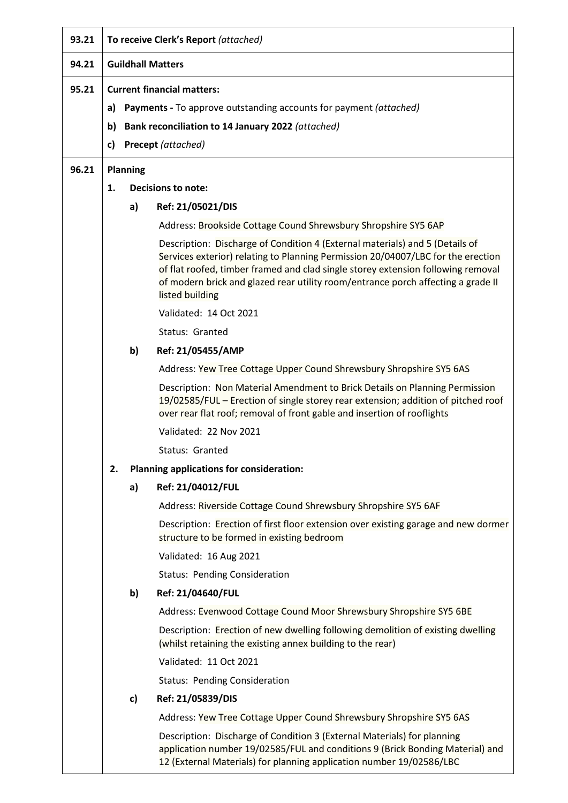| 93.21 |    |                           | To receive Clerk's Report (attached)                                                                                                                                                                                                                                                                                                                        |
|-------|----|---------------------------|-------------------------------------------------------------------------------------------------------------------------------------------------------------------------------------------------------------------------------------------------------------------------------------------------------------------------------------------------------------|
| 94.21 |    |                           | <b>Guildhall Matters</b>                                                                                                                                                                                                                                                                                                                                    |
| 95.21 |    |                           | <b>Current financial matters:</b>                                                                                                                                                                                                                                                                                                                           |
|       | a) |                           | <b>Payments - To approve outstanding accounts for payment (attached)</b>                                                                                                                                                                                                                                                                                    |
|       | b) |                           | Bank reconciliation to 14 January 2022 (attached)                                                                                                                                                                                                                                                                                                           |
|       | c) |                           | Precept (attached)                                                                                                                                                                                                                                                                                                                                          |
| 96.21 |    | <b>Planning</b>           |                                                                                                                                                                                                                                                                                                                                                             |
|       | 1. | <b>Decisions to note:</b> |                                                                                                                                                                                                                                                                                                                                                             |
|       |    | a)                        | Ref: 21/05021/DIS                                                                                                                                                                                                                                                                                                                                           |
|       |    |                           | Address: Brookside Cottage Cound Shrewsbury Shropshire SY5 6AP                                                                                                                                                                                                                                                                                              |
|       |    |                           | Description: Discharge of Condition 4 (External materials) and 5 (Details of<br>Services exterior) relating to Planning Permission 20/04007/LBC for the erection<br>of flat roofed, timber framed and clad single storey extension following removal<br>of modern brick and glazed rear utility room/entrance porch affecting a grade II<br>listed building |
|       |    |                           | Validated: 14 Oct 2021                                                                                                                                                                                                                                                                                                                                      |
|       |    |                           | Status: Granted                                                                                                                                                                                                                                                                                                                                             |
|       |    | b)                        | Ref: 21/05455/AMP                                                                                                                                                                                                                                                                                                                                           |
|       |    |                           | Address: Yew Tree Cottage Upper Cound Shrewsbury Shropshire SY5 6AS                                                                                                                                                                                                                                                                                         |
|       |    |                           | Description: Non Material Amendment to Brick Details on Planning Permission<br>19/02585/FUL - Erection of single storey rear extension; addition of pitched roof<br>over rear flat roof; removal of front gable and insertion of rooflights                                                                                                                 |
|       |    |                           | Validated: 22 Nov 2021                                                                                                                                                                                                                                                                                                                                      |
|       |    |                           | Status: Granted                                                                                                                                                                                                                                                                                                                                             |
|       | 2. |                           | <b>Planning applications for consideration:</b>                                                                                                                                                                                                                                                                                                             |
|       |    | a)                        | Ref: 21/04012/FUL                                                                                                                                                                                                                                                                                                                                           |
|       |    |                           | Address: Riverside Cottage Cound Shrewsbury Shropshire SY5 6AF                                                                                                                                                                                                                                                                                              |
|       |    |                           | Description: Erection of first floor extension over existing garage and new dormer<br>structure to be formed in existing bedroom                                                                                                                                                                                                                            |
|       |    |                           | Validated: 16 Aug 2021                                                                                                                                                                                                                                                                                                                                      |
|       |    |                           | <b>Status: Pending Consideration</b>                                                                                                                                                                                                                                                                                                                        |
|       |    | b)                        | Ref: 21/04640/FUL                                                                                                                                                                                                                                                                                                                                           |
|       |    |                           | Address: Evenwood Cottage Cound Moor Shrewsbury Shropshire SY5 6BE                                                                                                                                                                                                                                                                                          |
|       |    |                           | Description: Erection of new dwelling following demolition of existing dwelling<br>(whilst retaining the existing annex building to the rear)                                                                                                                                                                                                               |
|       |    |                           | Validated: 11 Oct 2021                                                                                                                                                                                                                                                                                                                                      |
|       |    |                           | <b>Status: Pending Consideration</b>                                                                                                                                                                                                                                                                                                                        |
|       |    | $\mathbf{c}$              | Ref: 21/05839/DIS                                                                                                                                                                                                                                                                                                                                           |
|       |    |                           | Address: Yew Tree Cottage Upper Cound Shrewsbury Shropshire SY5 6AS                                                                                                                                                                                                                                                                                         |
|       |    |                           | Description: Discharge of Condition 3 (External Materials) for planning<br>application number 19/02585/FUL and conditions 9 (Brick Bonding Material) and<br>12 (External Materials) for planning application number 19/02586/LBC                                                                                                                            |